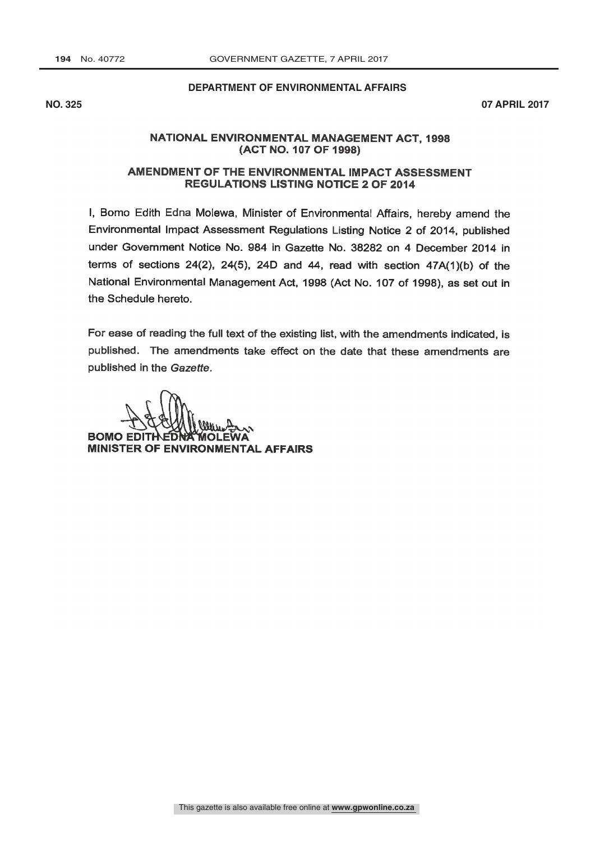### **DEPARTMENT OF ENVIRONMENTAL AFFAIRS**

**NO. 325 07 APRIL 2017**

## NATIONAL ENVIRONMENTAL MANAGEMENT ACT. 1998 (ACT NO. 107 OF 1998)

## AMENDMENT OF THE ENVIRONMENTAL IMPACT ASSESSMENT **REGULATIONS LISTING NOTICE 2 OF 2014**

I, Bomo Edith Edna Molewa, Minister of Environmental Affairs, hereby amend the Environmental impact Assessment Regulations Listing Notice 2 of 2014, published under Government Notice No. 984 in Gazette No. 38282 on 4 December 2014 in terms of sections 24(2), 24(5), 24D and 44, read with section  $47A(1)(b)$  of the National Environmental Management Act, 1998 (Act No. 107 of 1998), as set out in the Schedule hereto.

For ease of reading the full text of the existing list, with the amendments indicated, is published. The amendments take effect on the date that these amendments are published in the Gazette.

**BOMO EDIT** MINISTER OF ENVIRONMENTAL AFFAIRS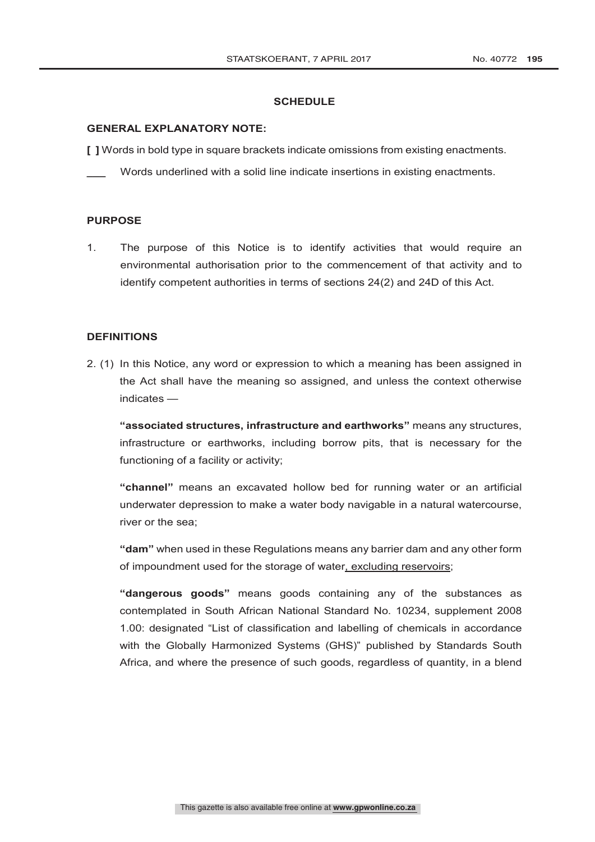### **SCHEDULE**

### **GENERAL EXPLANATORY NOTE:**

**[ ]** Words in bold type in square brackets indicate omissions from existing enactments.

**\_\_\_** Words underlined with a solid line indicate insertions in existing enactments.

## **PURPOSE**

1. The purpose of this Notice is to identify activities that would require an environmental authorisation prior to the commencement of that activity and to identify competent authorities in terms of sections 24(2) and 24D of this Act.

#### **DEFINITIONS**

2. (1) In this Notice, any word or expression to which a meaning has been assigned in the Act shall have the meaning so assigned, and unless the context otherwise indicates —

**"associated structures, infrastructure and earthworks"** means any structures, infrastructure or earthworks, including borrow pits, that is necessary for the functioning of a facility or activity;

**"channel"** means an excavated hollow bed for running water or an artificial underwater depression to make a water body navigable in a natural watercourse, river or the sea;

**"dam"** when used in these Regulations means any barrier dam and any other form of impoundment used for the storage of water, excluding reservoirs;

**"dangerous goods"** means goods containing any of the substances as contemplated in South African National Standard No. 10234, supplement 2008 1.00: designated "List of classification and labelling of chemicals in accordance with the Globally Harmonized Systems (GHS)" published by Standards South Africa, and where the presence of such goods, regardless of quantity, in a blend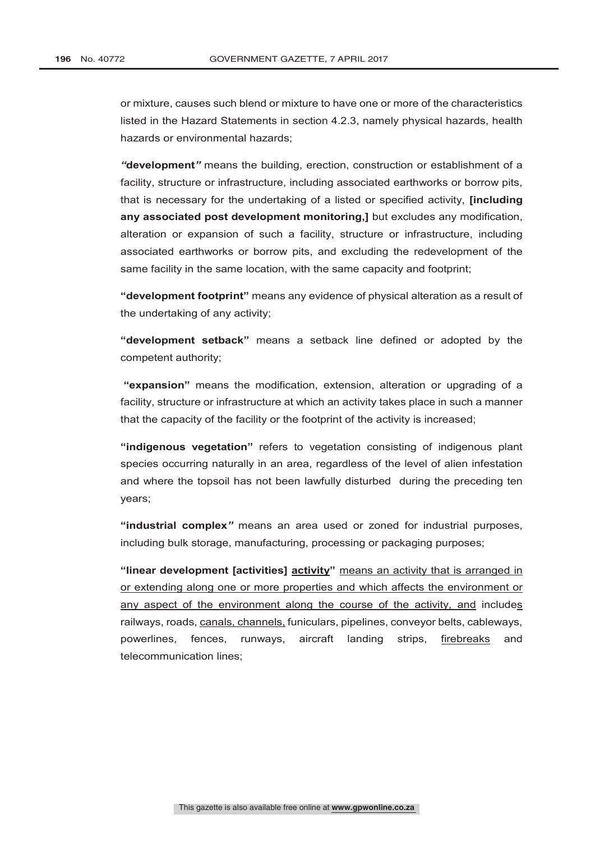or mixture, causes such blend or mixture to have one or more of the characteristics listed in the Hazard Statements in section 4.2.3, namely physical hazards, health hazards or environmental hazards;

*"***development***"* means the building, erection, construction or establishment of a facility, structure or infrastructure, including associated earthworks or borrow pits, that is necessary for the undertaking of a listed or specified activity, **[including any associated post development monitoring,]** but excludes any modification, alteration or expansion of such a facility, structure or infrastructure, including associated earthworks or borrow pits, and excluding the redevelopment of the same facility in the same location, with the same capacity and footprint;

**"development footprint"** means any evidence of physical alteration as a result of the undertaking of any activity;

**"development setback"** means a setback line defined or adopted by the competent authority;

 **"expansion"** means the modification, extension, alteration or upgrading of a facility, structure or infrastructure at which an activity takes place in such a manner that the capacity of the facility or the footprint of the activity is increased;

**"indigenous vegetation"** refers to vegetation consisting of indigenous plant species occurring naturally in an area, regardless of the level of alien infestation and where the topsoil has not been lawfully disturbed during the preceding ten years;

**"industrial complex***"* means an area used or zoned for industrial purposes, including bulk storage, manufacturing, processing or packaging purposes;

**"linear development [activities] activity"** means an activity that is arranged in or extending along one or more properties and which affects the environment or any aspect of the environment along the course of the activity, and includes railways, roads, canals, channels, funiculars, pipelines, conveyor belts, cableways, powerlines, fences, runways, aircraft landing strips, firebreaks and telecommunication lines;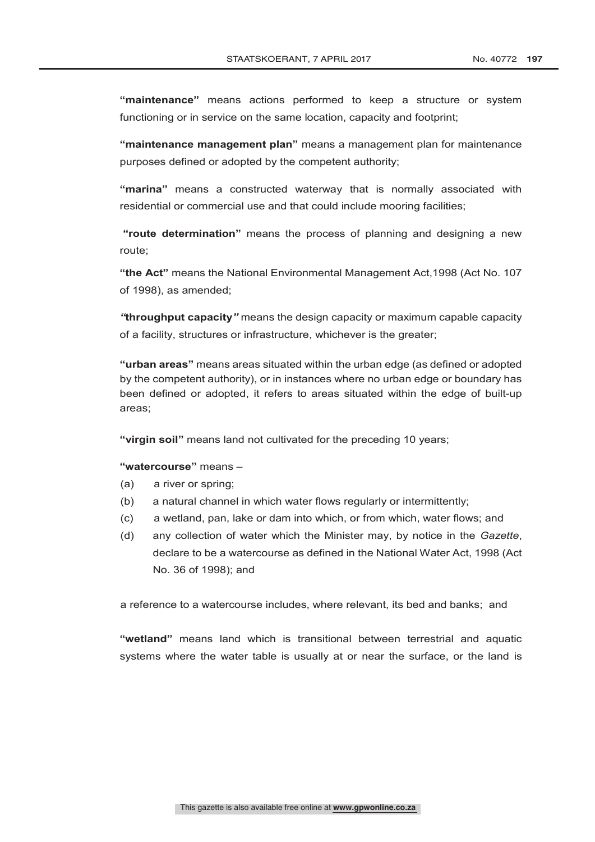**"maintenance"** means actions performed to keep a structure or system functioning or in service on the same location, capacity and footprint;

**"maintenance management plan"** means a management plan for maintenance purposes defined or adopted by the competent authority;

**"marina"** means a constructed waterway that is normally associated with residential or commercial use and that could include mooring facilities;

 **"route determination"** means the process of planning and designing a new route;

**"the Act"** means the National Environmental Management Act,1998 (Act No. 107 of 1998), as amended;

*"***throughput capacity***"* means the design capacity or maximum capable capacity of a facility, structures or infrastructure, whichever is the greater;

**"urban areas"** means areas situated within the urban edge (as defined or adopted by the competent authority), or in instances where no urban edge or boundary has been defined or adopted, it refers to areas situated within the edge of built-up areas;

**"virgin soil"** means land not cultivated for the preceding 10 years;

## **"watercourse"** means –

- (a) a river or spring;
- (b) a natural channel in which water flows regularly or intermittently;
- (c) a wetland, pan, lake or dam into which, or from which, water flows; and
- (d) any collection of water which the Minister may, by notice in the *Gazette*, declare to be a watercourse as defined in the National Water Act, 1998 (Act No. 36 of 1998); and

a reference to a watercourse includes, where relevant, its bed and banks; and

**"wetland"** means land which is transitional between terrestrial and aquatic systems where the water table is usually at or near the surface, or the land is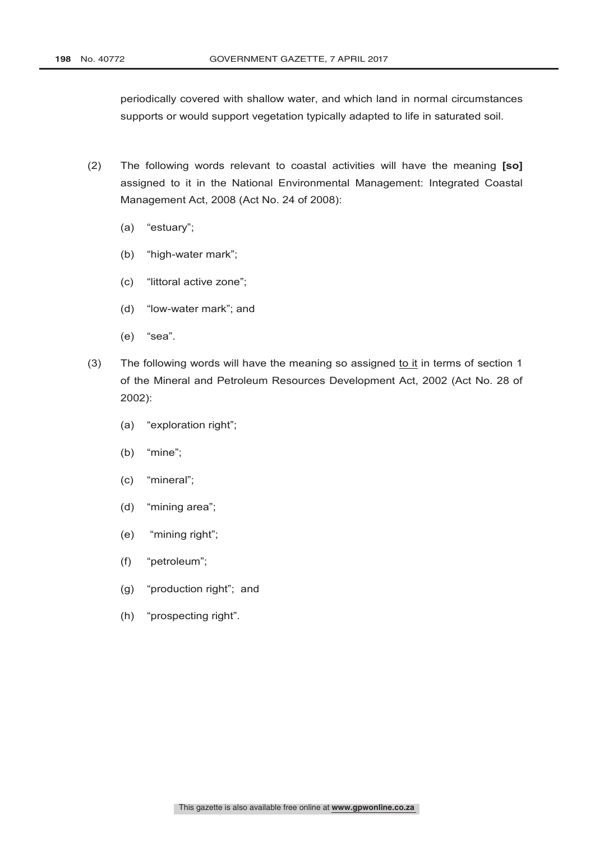periodically covered with shallow water, and which land in normal circumstances supports or would support vegetation typically adapted to life in saturated soil.

- (2) The following words relevant to coastal activities will have the meaning **[so]** assigned to it in the National Environmental Management: Integrated Coastal Management Act, 2008 (Act No. 24 of 2008):
	- (a) "estuary";
	- (b) "high-water mark";
	- (c) "littoral active zone";
	- (d) "low-water mark"; and
	- (e) "sea".
- (3) The following words will have the meaning so assigned to it in terms of section  $1$ of the Mineral and Petroleum Resources Development Act, 2002 (Act No. 28 of 2002):
	- (a) "exploration right";
	- (b) "mine";
	- (c) "mineral";
	- (d) "mining area";
	- (e) "mining right";
	- (f) "petroleum";
	- (g) "production right"; and
	- (h) "prospecting right".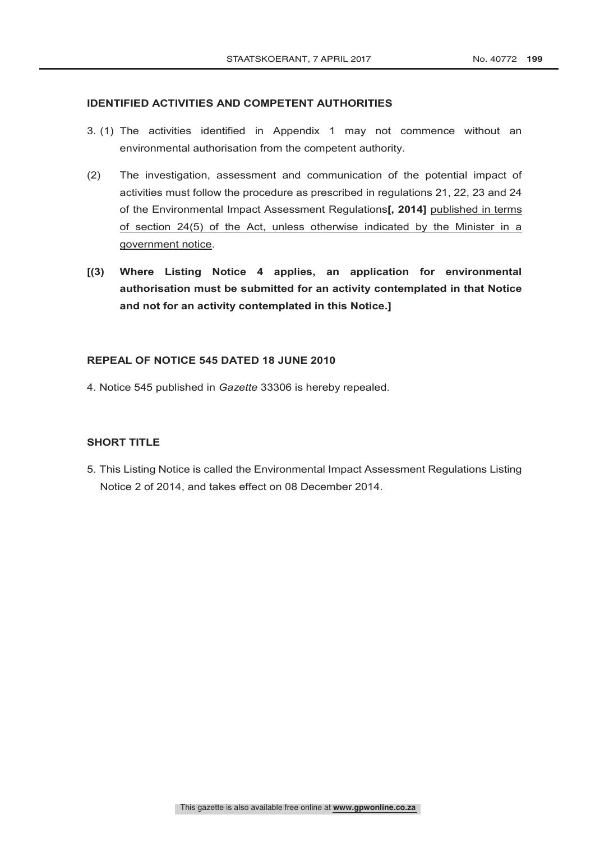## **IDENTIFIED ACTIVITIES AND COMPETENT AUTHORITIES**

- 3. (1) The activities identified in Appendix 1 may not commence without an environmental authorisation from the competent authority.
- (2) The investigation, assessment and communication of the potential impact of activities must follow the procedure as prescribed in regulations 21, 22, 23 and 24 of the Environmental Impact Assessment Regulations**[, 2014]** published in terms of section 24(5) of the Act, unless otherwise indicated by the Minister in a government notice.
- **[(3) Where Listing Notice 4 applies, an application for environmental authorisation must be submitted for an activity contemplated in that Notice and not for an activity contemplated in this Notice.]**

## **REPEAL OF NOTICE 545 DATED 18 JUNE 2010**

4. Notice 545 published in *Gazette* 33306 is hereby repealed.

# **SHORT TITLE**

5. This Listing Notice is called the Environmental Impact Assessment Regulations Listing Notice 2 of 2014, and takes effect on 08 December 2014.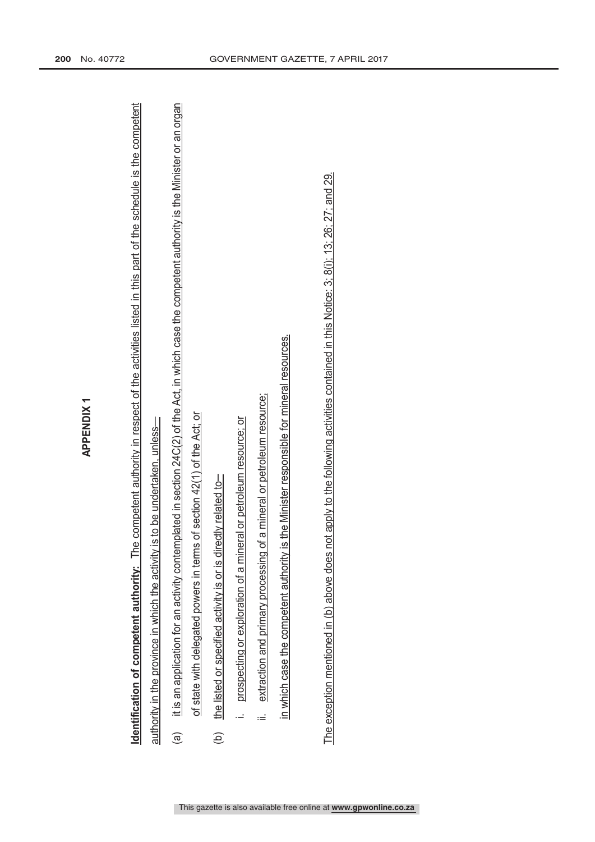| ⋷ |
|---|
|   |
|   |
|   |
|   |
|   |
|   |
|   |
|   |

- APPENDX 1<br>Identification of competent authority: The competent authority in respect of the activities listed in this part of the schedule is the competent<br>authority in the province in which the activity is to be undertaken
	- the listed or specified activity is or is directly related to-
- i. prospecting or exploration of a mineral or petroleum resource; or prospecting or exploration of a mineral or petroleum resource; or
- ii. extraction and primary processing of a mineral or petroleum resource; extraction and primary processing of a mineral or petroleum resource;  $\equiv$

in which case the competent authority is the Minister responsible for mineral resources. in which case the competent authority is the Minister responsible for mineral resources.

This gazette is also available free online at **www.gpwonline.co.za**

The exception mentioned in (b) above does not apply to the following activities contained in this Notice: 3; 8(i); 13; 26; 27; and 29. The exception mentioned in (b) above does not apply to the following activities contained in this Notice: 3; 8(i); 13; 26; 27; and 29.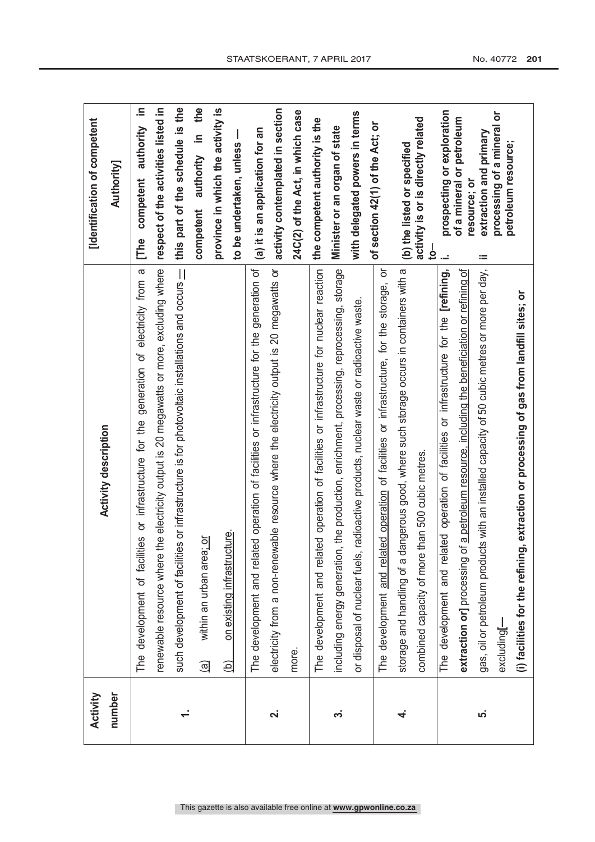|                         |                                                                                                  | [Identification of competent                      |
|-------------------------|--------------------------------------------------------------------------------------------------|---------------------------------------------------|
| Activity                | <b>Activity description</b>                                                                      |                                                   |
| number                  |                                                                                                  | <b>Authority]</b>                                 |
|                         | The development of facilities or infrastructure for the generation of electricity from a         | 르.<br>authority<br>competent<br>The               |
|                         | the electricity output is 20 megawatts or more, excluding where<br>renewable resource where      | respect of the activities listed in               |
|                         | such development of facilities or infrastructure is for photovoltaic installations and occurs -  | this part of the schedule is the                  |
|                         | within an urban area; or<br>$\widehat{\mathbf{e}}$                                               | the<br>$\equiv$<br>authority<br>competent         |
|                         | on existing infrastructure.<br>Э́                                                                | province in which the activity is                 |
|                         |                                                                                                  | to be undertaken, unless                          |
|                         | ted operation of facilities or infrastructure for the generation of<br>The development and relat | (a) it is an application for an                   |
| $\overline{\mathbf{u}}$ | electricity from a non-renewable resource where the electricity output is 20 megawatts or        | activity contemplated in section                  |
|                         | more.                                                                                            | 24C(2) of the Act, in which case                  |
|                         | The development and related operation of facilities or infrastructure for nuclear reaction       | the competent authority is the                    |
| က်                      | including energy generation, the production, enrichment, processing, reprocessing, storage       | Minister or an organ of state                     |
|                         | or disposal of nuclear fuels, radioactive products, nuclear waste or radioactive waste.          | with delegated powers in terms                    |
|                         | The development and related operation of facilities or infrastructure, for the storage, or       | of section 42(1) of the Act; or                   |
| 4                       | storage and handling of a dangerous good, where such storage occurs in containers with a         | (b) the listed or specified                       |
|                         | combined capacity of more than 500 cubic metres.                                                 | activity is or is directly related<br><u>ہے</u>   |
|                         | The development and related operation of facilities or infrastructure for the [refining,         | prospecting or exploration<br>цú.                 |
|                         | extraction or] processing of a petroleum resource, including the beneficiation or refining of    | of a mineral or petroleum<br>resource; or         |
| ယ                       | gas, oil or petroleum products with an installed capacity of 50 cubic metres or more per day,    | extraction and primary<br>ïЩ                      |
|                         | excluding[-                                                                                      | processing of a mineral or<br>petroleum resource; |
|                         | (i) facilities for the refining, extraction or processing of gas from landfill sites; or         |                                                   |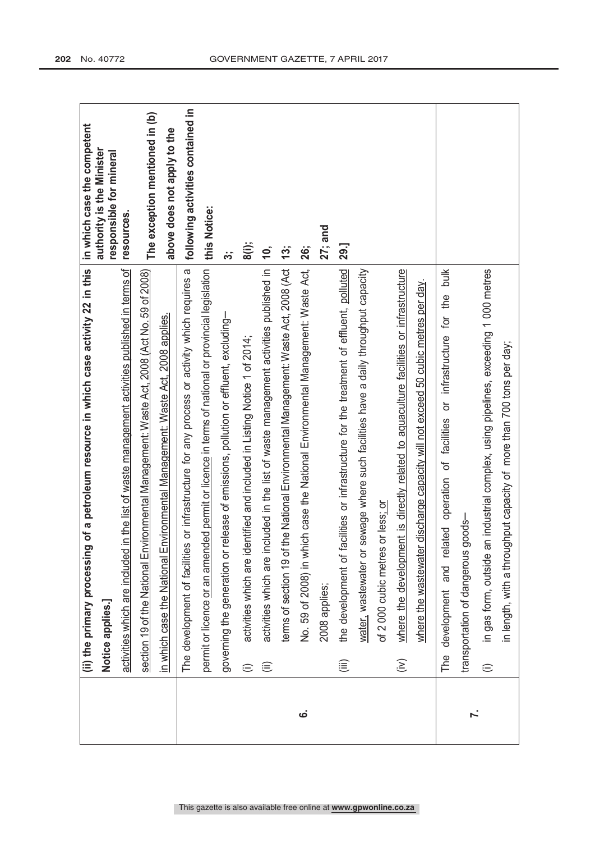|          | (ii) the primary processing of a petroleum resource in which case activity 22 in this                       | in which case the competent                          |
|----------|-------------------------------------------------------------------------------------------------------------|------------------------------------------------------|
|          | Notice applies.]                                                                                            | authority is the Minister<br>responsible for mineral |
|          | activities which are included in the list of waste management activities published in terms of              | resources.                                           |
|          | section 19 of the National Environmental Management: Waste Act, 2008 (Act No. 59 of 2008)                   | The exception mentioned in (b)                       |
|          | Environmental Management: Waste Act, 2008 applies.<br>in which case the National                            | above does not apply to the                          |
|          | The development of facilities or infrastructure for any process or activity which requires a                | following activities contained in                    |
|          | permit or licence or an amended permit or licence in terms of national or provincial legislation            | this Notice:                                         |
|          | governing the generation or release of emissions, pollution or effluent, excluding-                         | က်                                                   |
|          | activities which are identified and included in Listing Notice 1 of 2014;<br>$\oplus$                       | 8(i);                                                |
|          | included in the list of waste management activities published in<br>activities which are<br>⊜               | $\overline{10}$                                      |
|          | terms of section 19 of the National Environmental Management: Waste Act, 2008 (Act                          | 13;                                                  |
| <u>ဖ</u> | No. 59 of 2008) in which case the National Environmental Management: Waste Act,                             | <b>26;</b>                                           |
|          | 2008 applies;                                                                                               | 27; and                                              |
|          | facilities or infrastructure for the treatment of effluent, polluted<br>the development of<br>這             | 29.]                                                 |
|          | water, wastewater or sewage where such facilities have a daily throughput capacity                          |                                                      |
|          | of 2 000 cubic metres or less; or                                                                           |                                                      |
|          | where the development is directly related to aquaculture facilities or infrastructure<br>$\widehat{(\geq)}$ |                                                      |
|          | where the wastewater discharge capacity will not exceed 50 cubic metres per day.                            |                                                      |
|          | The development and related operation of facilities or infrastructure for the bulk                          |                                                      |
| Ϋ́.      | $goods-$<br>transportation of dangerous                                                                     |                                                      |
|          | an industrial complex, using pipelines, exceeding 1 000 metres<br>in gas form, outside<br>$\oplus$          |                                                      |
|          | in length, with a throughput capacity of more than 700 tons per day;                                        |                                                      |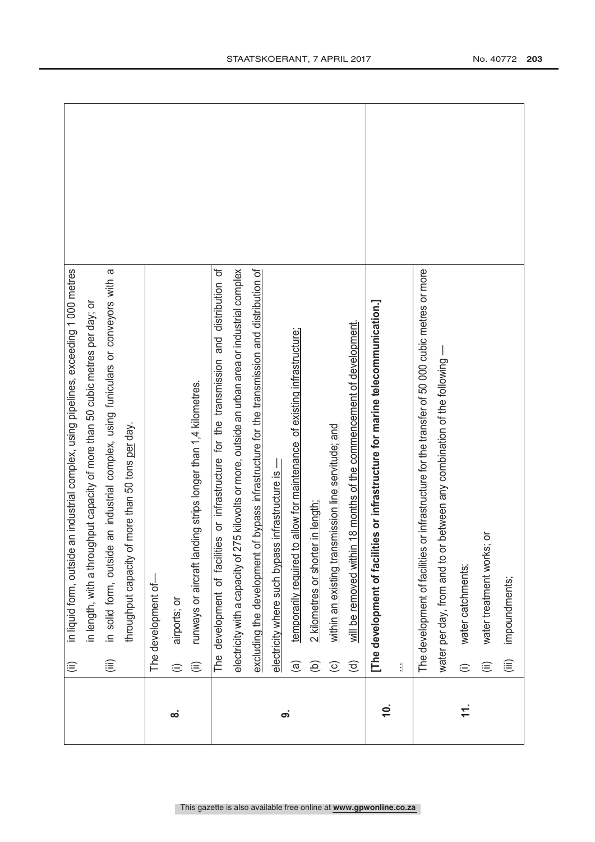|           | in liquid form, outside an industrial complex, using pipelines, exceeding 1 000 metres<br>$\widehat{=}$      |  |
|-----------|--------------------------------------------------------------------------------------------------------------|--|
|           | ighput capacity of more than 50 cubic metres per day; or<br>in length, with a throu                          |  |
|           | in solid form, outside an industrial complex, using funiculars or conveyors with a<br>$\widehat{\mathbf{H}}$ |  |
|           | throughput capacity of more than 50 tons per day.                                                            |  |
|           | The development of-                                                                                          |  |
| ထံ        | airports; or<br>$\oplus$                                                                                     |  |
|           | runways or aircraft landing strips longer than 1,4 kilometres.<br>$\widehat{\equiv}$                         |  |
|           | The development of facilities or infrastructure for the transmission and distribution of                     |  |
|           | electricity with a capacity of 275 kilovolts or more, outside an urban area or industrial complex            |  |
|           | of bypass infrastructure for the transmission and distribution of<br>excluding the development               |  |
| တ         | electricity where such bypass infrastructure is -                                                            |  |
|           | temporarily required to allow for maintenance of existing infrastructure;<br>$\widehat{a}$                   |  |
|           | 2 kilometres or shorter in length;<br>$\widehat{e}$                                                          |  |
|           | within an existing transmission line servitude; and<br>$\odot$                                               |  |
|           | n 18 months of the commencement of development.<br>will be removed withi<br>$\widehat{\sigma}$               |  |
| $\dot{0}$ | [The development of facilities or infrastructure for marine telecommunication.]                              |  |
|           | 1                                                                                                            |  |
|           | The development of facilities or infrastructure for the transfer of 50 000 cubic metres or more              |  |
|           | water per day, from and to or between any combination of the following -                                     |  |
| $\pm$     | water catchments;<br>⊜                                                                                       |  |
|           | water treatment works; or<br>$\widehat{=}$                                                                   |  |
|           | impoundments;<br>$\widehat{\mathbb{E}}$                                                                      |  |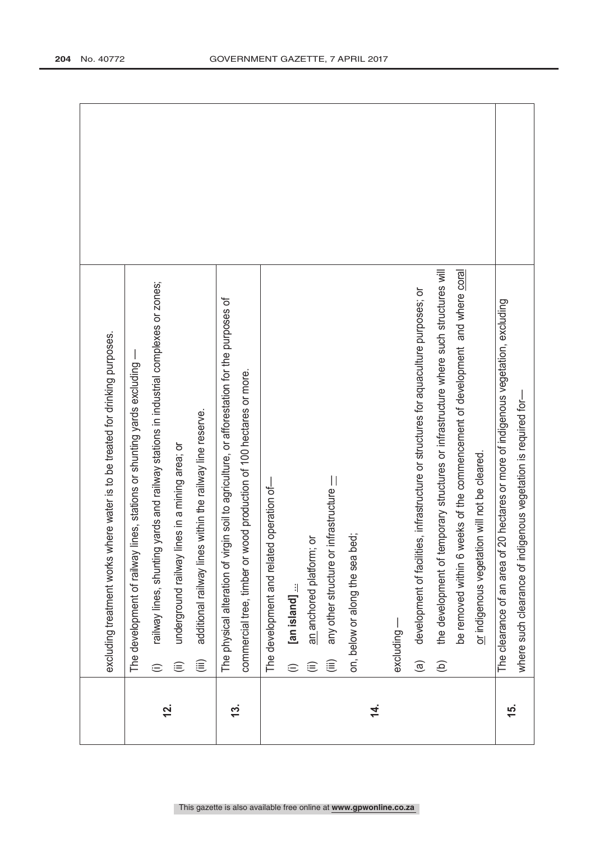|               | excluding treatment works where water is to be treated for drinking purposes.                              |  |
|---------------|------------------------------------------------------------------------------------------------------------|--|
|               |                                                                                                            |  |
|               | lines, stations or shunting yards excluding -<br>The development of railway                                |  |
| <u>si</u>     | railway lines, shunting yards and railway stations in industrial complexes or zones;<br>⊜                  |  |
|               | lines in a mining area; or<br>underground railway<br>$\widehat{\equiv}$                                    |  |
|               | additional railway lines within the railway line reserve.<br>$\widehat{\mathbb{E}}$                        |  |
| <u>ದ್ರ</u>    | The physical alteration of virgin soil to agriculture, or afforestation for the purposes of                |  |
|               | commercial tree, timber or wood production of 100 hectares or more.                                        |  |
|               | The development and related operation of-                                                                  |  |
|               | [an island]<br>$\oplus$                                                                                    |  |
|               | ŏ<br>an anchored platform;<br>⊜                                                                            |  |
|               | infrastructure -<br>any other structure or<br>$\widehat{\mathbb{E}}$                                       |  |
|               | yed:<br>on, below or along the sea b                                                                       |  |
| 4.            |                                                                                                            |  |
|               | $excluding -$                                                                                              |  |
|               | development of facilities, infrastructure or structures for aquaculture purposes; or<br>$\widehat{a}$      |  |
|               | the development of temporary structures or infrastructure where such structures will<br>$\widehat{\Theta}$ |  |
|               | be removed within 6 weeks of the commencement of development and where coral                               |  |
|               | or indigenous vegetation will not be cleared.                                                              |  |
| <u>ی</u><br>( | 20 hectares or more of indigenous vegetation, excluding<br>The clearance of an area of                     |  |
|               | where such clearance of indigenous vegetation is required for-                                             |  |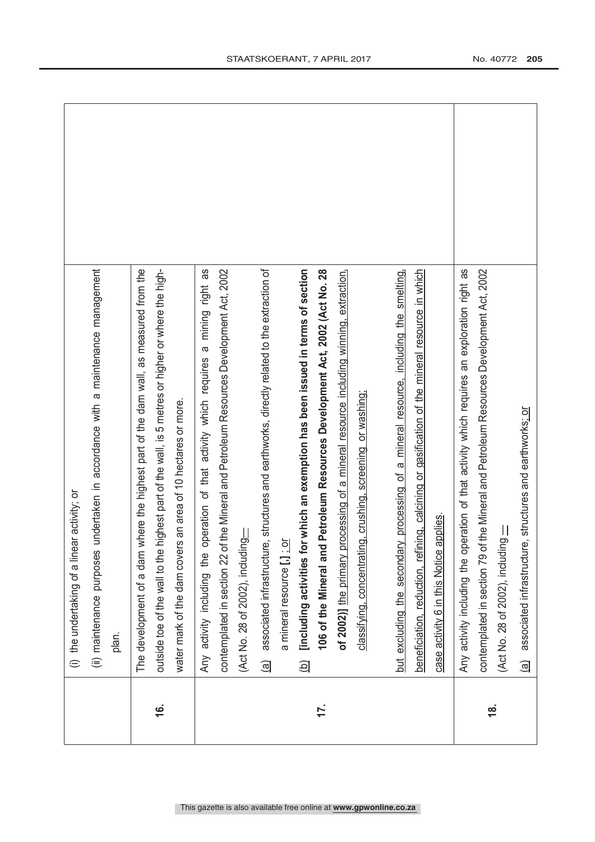|               | (i) the undertaking of a linear activity; or                                                                          |  |
|---------------|-----------------------------------------------------------------------------------------------------------------------|--|
|               | undertaken in accordance with a maintenance management<br>(ii) maintenance purposes                                   |  |
|               | plan.                                                                                                                 |  |
|               | The development of a dam where the highest part of the dam wall, as measured from the                                 |  |
| <u>(6</u>     | highest part of the wall, is 5 metres or higher or where the high-<br>outside toe of the wall to the                  |  |
|               | water mark of the dam covers an area of 10 hectares or more.                                                          |  |
|               | operation of that activity which requires a mining right as<br>Any activity including the                             |  |
|               | contemplated in section 22 of the Mineral and Petroleum Resources Development Act, 2002                               |  |
|               | (Act No. 28 of 2002), including                                                                                       |  |
|               | associated infrastructure, structures and earthworks, directly related to the extraction of<br>$\widehat{\mathbb{E}}$ |  |
|               | a mineral resource [.] : or                                                                                           |  |
|               | [including activities for which an exemption has been issued in terms of section<br>$\overline{a}$                    |  |
| 17.           | Petroleum Resources Development Act, 2002 (Act No. 28<br>106 of the Mineral and                                       |  |
|               | of 2002)] the primary processing of a mineral resource including winning, extraction,                                 |  |
|               | classifying, concentrating, crushing, screening or washing;                                                           |  |
|               | but excluding the secondary processing of a mineral resource, including the smelting,                                 |  |
|               | beneficiation, reduction, refining, calcining or gasification of the mineral resource in which                        |  |
|               | case activity 6 in this Notice applies.                                                                               |  |
|               | eration of that activity which requires an exploration right as<br>Any activity including the op                      |  |
| $\frac{8}{3}$ | contemplated in section 79 of the Mineral and Petroleum Resources Development Act, 2002                               |  |
|               | $\equiv$ 0.28 of 2007 to 80 $\equiv$ 0.2007 to 80                                                                     |  |
|               | associated infrastructure, structures and earthworks; or<br>$\widehat{\mathbb{E}}$                                    |  |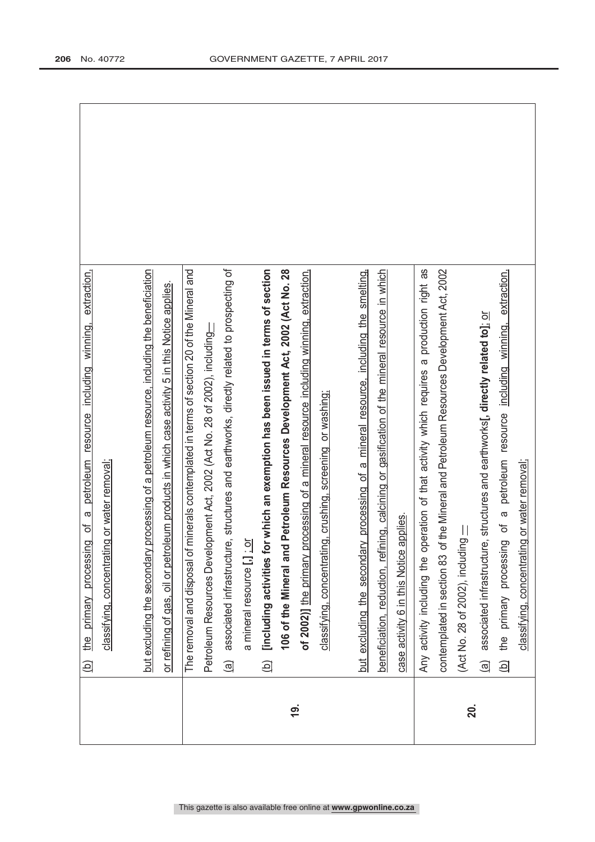|            | extraction,<br>petroleum resource including winning,<br>$\sigma$<br>đ<br>the primary processing<br>$\widehat{\Xi}$     |  |
|------------|------------------------------------------------------------------------------------------------------------------------|--|
|            | classifying, concentrating or water removal;                                                                           |  |
|            |                                                                                                                        |  |
|            | processing of a petroleum resource, including the beneficiation<br>but excluding the secondary                         |  |
|            | or refining of gas, oil or petroleum products in which case activity 5 in this Notice applies.                         |  |
|            | minerals contemplated in terms of section 20 of the Mineral and<br>The removal and disposal of                         |  |
|            | Petroleum Resources Development Act, 2002 (Act No. 28 of 2002), including                                              |  |
|            | e, structures and earthworks, directly related to prospecting of<br>associated infrastructur<br>$\widehat{\mathbb{E}}$ |  |
|            | a mineral resource [,] : or                                                                                            |  |
|            | [including activities for which an exemption has been issued in terms of section<br>$\widehat{\mathbf{p}}$             |  |
|            | 106 of the Mineral and Petroleum Resources Development Act, 2002 (Act No. 28                                           |  |
| <u>(6)</u> | of 2002)] the primary processing of a mineral resource including winning, extraction,                                  |  |
|            | classifying, concentrating, crushing, screening or washing;                                                            |  |
|            |                                                                                                                        |  |
|            | but excluding the secondary processing of a mineral resource, including the smelting,                                  |  |
|            | beneficiation, reduction, refining, calcining or gasification of the mineral resource in which                         |  |
|            | applies.<br>case activity 6 in this Notice                                                                             |  |
|            | peration of that activity which requires a production right as<br>Any activity including the o                         |  |
|            | contemplated in section 83 of the Mineral and Petroleum Resources Development Act, 2002                                |  |
| 20.        | $\equiv$ Moliphue (Aod 28 of 2007 to 20 to 20 to 20                                                                    |  |
|            | associated infrastructure, structures and earthworks[, directly related to]; or<br>$\widehat{\mathbb{B}}$              |  |
|            | petroleum resource including winning, extraction,<br>$\sigma$<br>the primary processing of<br><u>ු</u>                 |  |
|            | classifying, concentrating or water removal;                                                                           |  |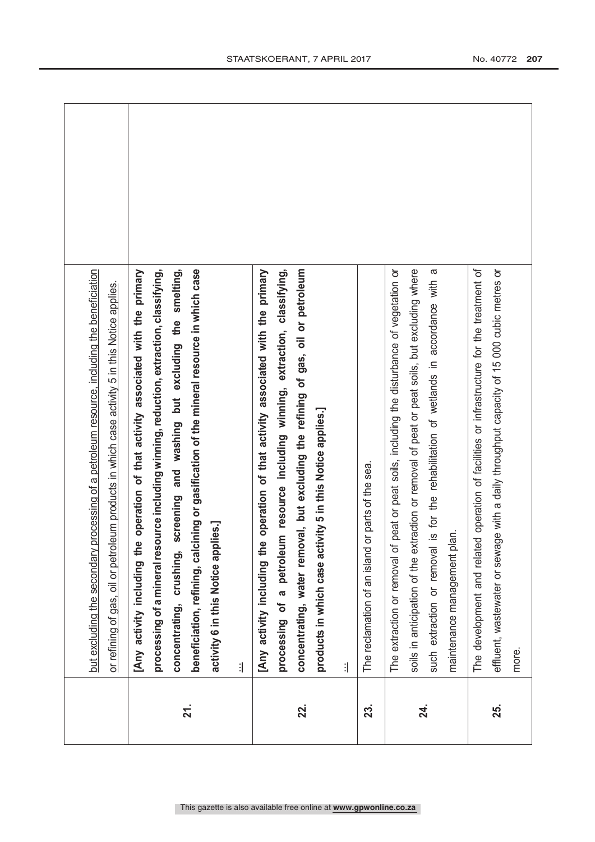|                   | but excluding the secondary processing of a petroleum resource, including the beneficiation<br>or refining of gas, oil or petroleum products in which case activity 5 in this Notice applies.                                                                                                                                                                                                                 |  |
|-------------------|---------------------------------------------------------------------------------------------------------------------------------------------------------------------------------------------------------------------------------------------------------------------------------------------------------------------------------------------------------------------------------------------------------------|--|
| $\overline{21}$ . | processing of a mineral resource including winning, reduction, extraction, classifying,<br>smelting,<br>cining or gasification of the mineral resource in which case<br>[Any activity including the operation of that activity associated with the primary<br>screening and washing but excluding the<br>activity 6 in this Notice applies.]<br>concentrating, crushing,<br>beneficiation, refining, cal<br>1 |  |
| 22.               | processing of a petroleum resource including winning, extraction, classifying,<br>[Any activity including the operation of that activity associated with the primary<br>concentrating, water removal, but excluding the refining of gas, oil or petroleum<br>products in which case activity 5 in this Notice applies.]<br>1                                                                                  |  |
| 23.               | The reclamation of an island or parts of the sea.                                                                                                                                                                                                                                                                                                                                                             |  |
| 24.               | The extraction or removal of peat or peat soils, including the disturbance of vegetation or<br>soils in anticipation of the extraction or removal of peat or peat soils, but excluding where<br>$\omega$<br>such extraction or removal is for the rehabilitation of wetlands in accordance with<br>maintenance management plan.                                                                               |  |
| 25.               | The development and related operation of facilities or infrastructure for the treatment of<br>effluent, wastewater or sewage with a daily throughput capacity of 15 000 cubic metres or<br>more.                                                                                                                                                                                                              |  |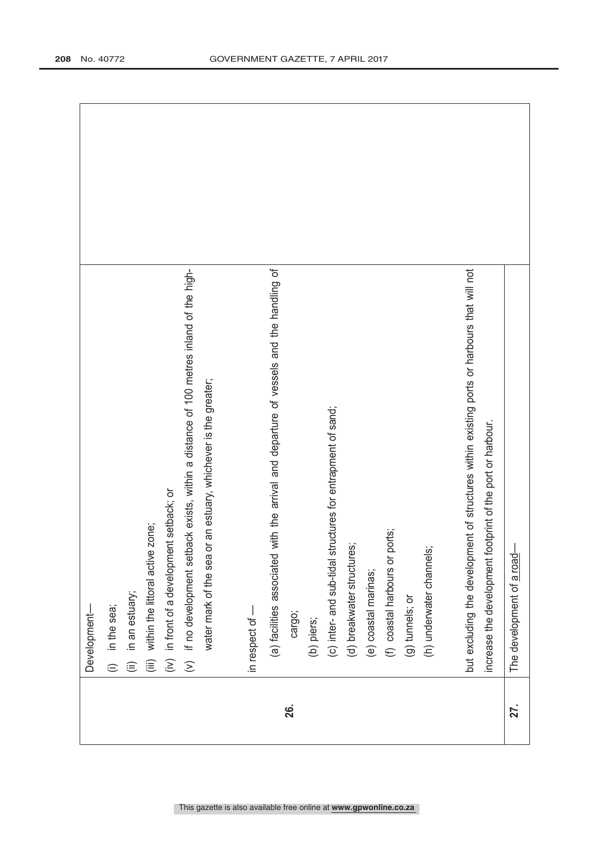|     | Development-                                                                                |  |
|-----|---------------------------------------------------------------------------------------------|--|
|     | in the sea;<br>$\oplus$                                                                     |  |
|     | in an estuary;<br>$\widehat{\equiv}$                                                        |  |
|     | zone;<br>within the littoral active<br>$\widehat{\mathbb{E}}$                               |  |
|     | in front of a development setback; or<br>(i)                                                |  |
|     | (v) if no development setback exists, within a distance of 100 metres inland of the high-   |  |
|     | water mark of the sea or an estuary, whichever is the greater;                              |  |
|     | in respect of -                                                                             |  |
|     | (a) facilities associated with the arrival and departure of vessels and the handling of     |  |
| 26. | cargo;                                                                                      |  |
|     | (b) piers;                                                                                  |  |
|     | (c) inter- and sub-tidal structures for entrapment of sand;                                 |  |
|     | (d) breakwater structures;                                                                  |  |
|     | (e) coastal marinas;                                                                        |  |
|     | (f) coastal harbours or ports;                                                              |  |
|     | (g) tunnels; or                                                                             |  |
|     | (h) underwater channels                                                                     |  |
|     |                                                                                             |  |
|     | but excluding the development of structures within existing ports or harbours that will not |  |
|     | increase the development footprint of the port or harbour.                                  |  |
| 27. | The development of a road-                                                                  |  |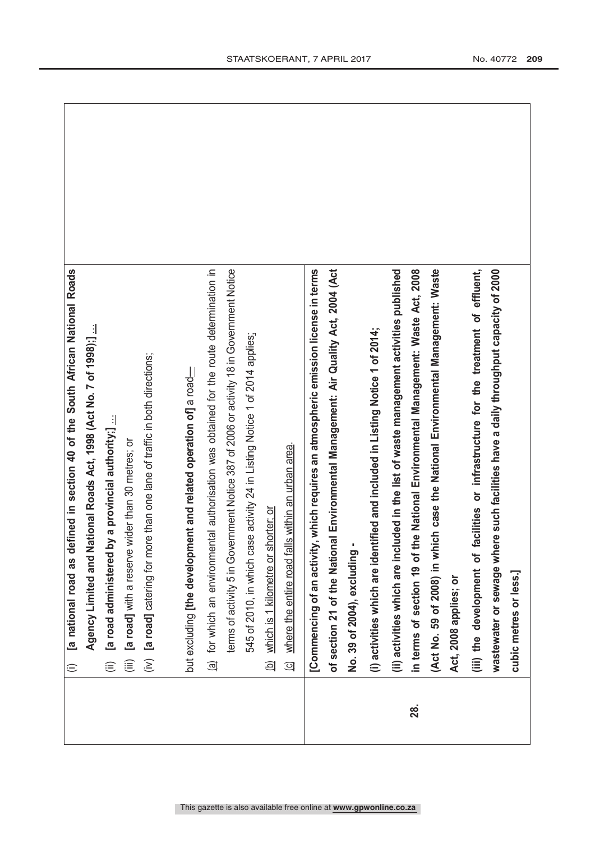|     | defined in section 40 of the South African National Roads<br>[a national road as<br>$\widehat{=}$ |  |
|-----|---------------------------------------------------------------------------------------------------|--|
|     | Agency Limited and National Roads Act, 1998 (Act No. 7 of 1998);]                                 |  |
|     | by a provincial authority;]<br>[a road administered<br>$\widehat{\equiv}$                         |  |
|     | [a road] with a reserve wider than 30 metres; or<br>$\widehat{\equiv}$                            |  |
|     | (iv) [a road] catering for more than one lane of traffic in both directions;                      |  |
|     |                                                                                                   |  |
|     | but excluding the development and related operation of] a road                                    |  |
|     | for which an environmental authorisation was obtained for the route determination in<br>මු        |  |
|     | terms of activity 5 in Government Notice 387 of 2006 or activity 18 in Government Notice          |  |
|     | 545 of 2010, in which case activity 24 in Listing Notice 1 of 2014 applies:                       |  |
|     | which is 1 kilometre or shorter; or<br>$\Theta$                                                   |  |
|     | where the entire road falls within an urban area.<br>ସ                                            |  |
|     | [Commencing of an activity, which requires an atmospheric emission license in terms               |  |
|     | of section 21 of the National Environmental Management: Air Quality Act, 2004 (Act                |  |
|     | No. 39 of 2004), excluding                                                                        |  |
|     | (i) activities which are identified and included in Listing Notice 1 of 2014;                     |  |
|     | (ii) activities which are included in the list of waste management activities published           |  |
| 28. | the National Environmental Management: Waste Act, 2008<br>in terms of section 19 of               |  |
|     | (Act No. 59 of 2008) in which case the National Environmental Management: Waste                   |  |
|     | Act, 2008 applies; or                                                                             |  |
|     | facilities or infrastructure for the treatment of effluent,<br>(iii) the development of           |  |
|     | wastewater or sewage where such facilities have a daily throughput capacity of 2000               |  |
|     | cubic metres or less.]                                                                            |  |